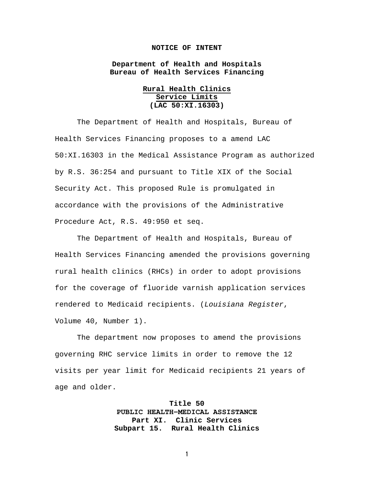## **NOTICE OF INTENT**

**Department of Health and Hospitals Bureau of Health Services Financing**

> **Rural Health Clinics Service Limits (LAC 50:XI.16303)**

The Department of Health and Hospitals, Bureau of Health Services Financing proposes to a amend LAC 50:XI.16303 in the Medical Assistance Program as authorized by R.S. 36:254 and pursuant to Title XIX of the Social Security Act. This proposed Rule is promulgated in accordance with the provisions of the Administrative Procedure Act, R.S. 49:950 et seq.

The Department of Health and Hospitals, Bureau of Health Services Financing amended the provisions governing rural health clinics (RHCs) in order to adopt provisions for the coverage of fluoride varnish application services rendered to Medicaid recipients. (*Louisiana Register*, Volume 40, Number 1).

The department now proposes to amend the provisions governing RHC service limits in order to remove the 12 visits per year limit for Medicaid recipients 21 years of age and older.

> **Title 50 PUBLIC HEALTH―MEDICAL ASSISTANCE Part XI. Clinic Services Subpart 15. Rural Health Clinics**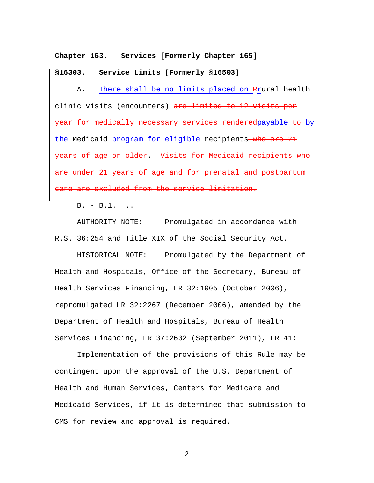**Chapter 163. Services [Formerly Chapter 165]**

**§16303. Service Limits [Formerly §16503]**

A. There shall be no limits placed on Rrural health clinic visits (encounters) are limited to 12 visits per year for medically necessary services renderedpayable to by the Medicaid program for eligible recipients who are 21 years of age or older. Visits for Medicaid recipients who are under 21 years of age and for prenatal and postpartum care are excluded from the service limitation.

B. - B.1. ...

AUTHORITY NOTE: Promulgated in accordance with R.S. 36:254 and Title XIX of the Social Security Act.

HISTORICAL NOTE: Promulgated by the Department of Health and Hospitals, Office of the Secretary, Bureau of Health Services Financing, LR 32:1905 (October 2006), repromulgated LR 32:2267 (December 2006), amended by the Department of Health and Hospitals, Bureau of Health Services Financing, LR 37:2632 (September 2011), LR 41:

Implementation of the provisions of this Rule may be contingent upon the approval of the U.S. Department of Health and Human Services, Centers for Medicare and Medicaid Services, if it is determined that submission to CMS for review and approval is required.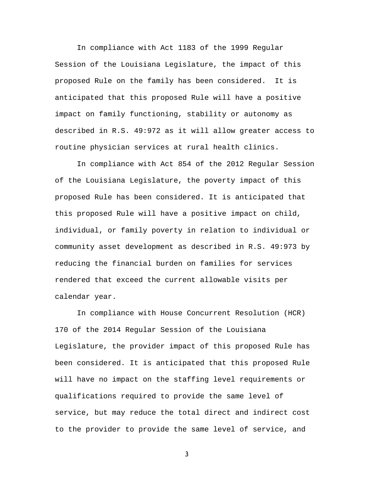In compliance with Act 1183 of the 1999 Regular Session of the Louisiana Legislature, the impact of this proposed Rule on the family has been considered. It is anticipated that this proposed Rule will have a positive impact on family functioning, stability or autonomy as described in R.S. 49:972 as it will allow greater access to routine physician services at rural health clinics.

In compliance with Act 854 of the 2012 Regular Session of the Louisiana Legislature, the poverty impact of this proposed Rule has been considered. It is anticipated that this proposed Rule will have a positive impact on child, individual, or family poverty in relation to individual or community asset development as described in R.S. 49:973 by reducing the financial burden on families for services rendered that exceed the current allowable visits per calendar year.

In compliance with House Concurrent Resolution (HCR) 170 of the 2014 Regular Session of the Louisiana Legislature, the provider impact of this proposed Rule has been considered. It is anticipated that this proposed Rule will have no impact on the staffing level requirements or qualifications required to provide the same level of service, but may reduce the total direct and indirect cost to the provider to provide the same level of service, and